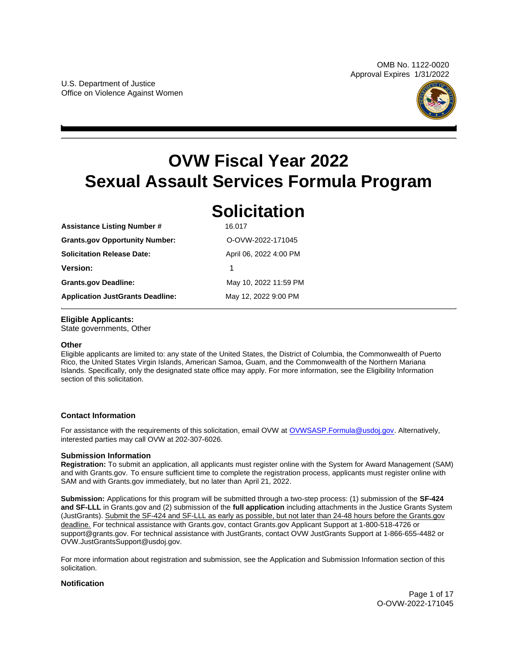

# <span id="page-0-0"></span>**OVW Fiscal Year 2022 Sexual Assault Services Formula Program**

**Solicitation** 

| <b>SOLICITATION</b>    |
|------------------------|
| 16.017                 |
| O-OVW-2022-171045      |
| April 06, 2022 4:00 PM |
| 1                      |
| May 10, 2022 11:59 PM  |
| May 12, 2022 9:00 PM   |
|                        |

## **Eligible Applicants:**

State governments, Other

## **Other**

Eligible applicants are limited to: any state of the United States, the District of Columbia, the Commonwealth of Puerto Rico, the United States Virgin Islands, American Samoa, Guam, and the Commonwealth of the Northern Mariana Islands. Specifically, only the designated state office may apply. For more information, see the Eligibility Information section of this solicitation.

## **Contact Information**

For assistance with the requirements of this solicitation, email OVW at [OVWSASP.Formula@usdoj.gov.](http://ovwsasp.formula@usdoj.gov) Alternatively, interested parties may call OVW at 202-307-6026.

## **Submission Information**

**Registration:** To submit an application, all applicants must register online with the System for Award Management (SAM) and with [Grants.gov.](https://Grants.gov) To ensure sufficient time to complete the registration process, applicants must register online with SAM and with [Grants.gov](https://Grants.gov) immediately, but no later than April 21, 2022.

**Submission:** Applications for this program will be submitted through a two-step process: (1) submission of the **SF-424 and SF-LLL** in [Grants.gov](https://Grants.gov) and (2) submission of the **full application** including attachments in the Justice Grants System (JustGrants). Submit the SF-424 and SF-LLL as early as possible, but not later than 24-48 hours before the [Grants.gov](https://Grants.gov)  deadline. For technical assistance with [Grants.gov,](https://Grants.gov) contact [Grants.gov](https://Grants.gov) Applicant Support at 1-800-518-4726 or [support@grants.gov.](mailto:support@grants.gov) For technical assistance with JustGrants, contact OVW JustGrants Support at 1-866-655-4482 or [OVW.JustGrantsSupport@usdoj.gov.](mailto:OVW.JustGrantsSupport@usdoj.gov)

For more information about registration and submission, see the Application and Submission Information section of this solicitation.

## **Notification**

Page 1 of 17 O-OVW-2022-171045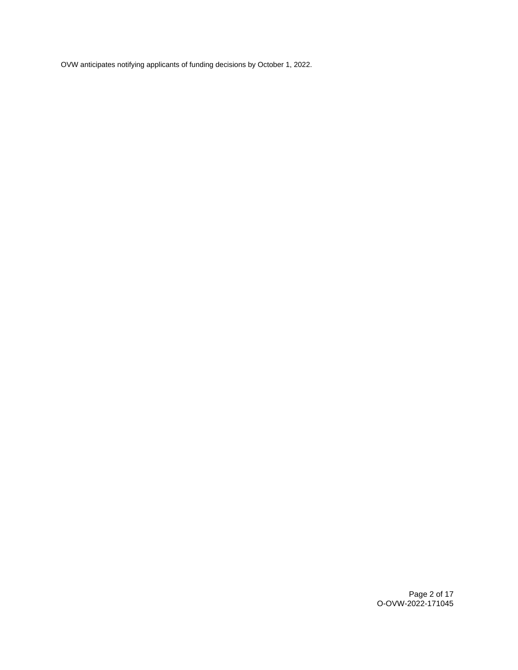OVW anticipates notifying applicants of funding decisions by October 1, 2022.

Page 2 of 17 O-OVW-2022-171045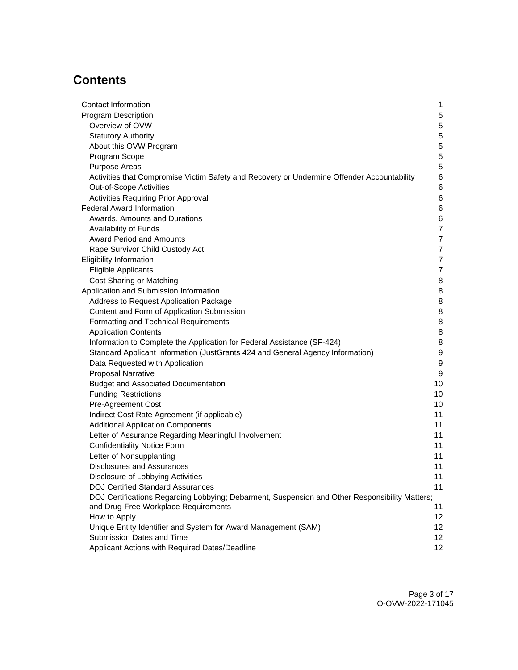## **Contents**

| Contact Information                                                                            | 1               |
|------------------------------------------------------------------------------------------------|-----------------|
| <b>Program Description</b>                                                                     | 5               |
| Overview of OVW                                                                                | 5               |
| <b>Statutory Authority</b>                                                                     | 5               |
| About this OVW Program                                                                         | 5               |
| Program Scope                                                                                  | 5               |
| <b>Purpose Areas</b>                                                                           | 5               |
| Activities that Compromise Victim Safety and Recovery or Undermine Offender Accountability     | 6               |
| Out-of-Scope Activities                                                                        | 6               |
| Activities Requiring Prior Approval                                                            | 6               |
| <b>Federal Award Information</b>                                                               | 6               |
| Awards, Amounts and Durations                                                                  | 6               |
| Availability of Funds                                                                          | $\overline{7}$  |
| <b>Award Period and Amounts</b>                                                                | 7               |
| Rape Survivor Child Custody Act                                                                | 7               |
| <b>Eligibility Information</b>                                                                 | $\overline{7}$  |
| <b>Eligible Applicants</b>                                                                     | $\overline{7}$  |
| Cost Sharing or Matching                                                                       | 8               |
| Application and Submission Information                                                         | 8               |
| Address to Request Application Package                                                         | 8               |
| Content and Form of Application Submission                                                     | 8               |
| Formatting and Technical Requirements                                                          | 8               |
| <b>Application Contents</b>                                                                    | 8               |
| Information to Complete the Application for Federal Assistance (SF-424)                        | 8               |
| Standard Applicant Information (JustGrants 424 and General Agency Information)                 | 9               |
| Data Requested with Application                                                                | 9               |
| <b>Proposal Narrative</b>                                                                      | 9               |
| <b>Budget and Associated Documentation</b>                                                     | 10              |
| <b>Funding Restrictions</b>                                                                    | 10              |
| Pre-Agreement Cost                                                                             | 10              |
| Indirect Cost Rate Agreement (if applicable)                                                   | 11              |
| <b>Additional Application Components</b>                                                       | 11              |
| Letter of Assurance Regarding Meaningful Involvement                                           | 11              |
| <b>Confidentiality Notice Form</b>                                                             | 11              |
| Letter of Nonsupplanting                                                                       | 11              |
| <b>Disclosures and Assurances</b>                                                              | 11              |
| Disclosure of Lobbying Activities                                                              | 11              |
| <b>DOJ Certified Standard Assurances</b>                                                       | 11              |
| DOJ Certifications Regarding Lobbying; Debarment, Suspension and Other Responsibility Matters; |                 |
| and Drug-Free Workplace Requirements                                                           | 11              |
| How to Apply                                                                                   | 12              |
| Unique Entity Identifier and System for Award Management (SAM)                                 | 12 <sup>°</sup> |
| Submission Dates and Time                                                                      | 12 <sub>2</sub> |
| Applicant Actions with Required Dates/Deadline                                                 | 12              |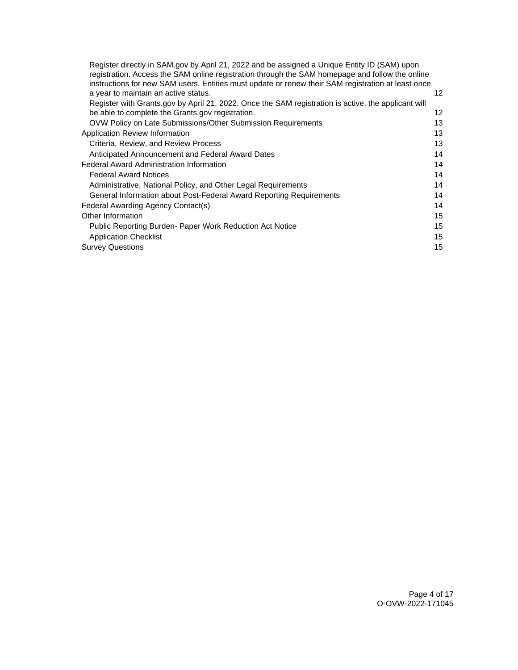| Register directly in SAM.gov by April 21, 2022 and be assigned a Unique Entity ID (SAM) upon        |    |
|-----------------------------------------------------------------------------------------------------|----|
| registration. Access the SAM online registration through the SAM homepage and follow the online     |    |
| instructions for new SAM users. Entities must update or renew their SAM registration at least once  |    |
| a year to maintain an active status.                                                                | 12 |
| Register with Grants.gov by April 21, 2022. Once the SAM registration is active, the applicant will |    |
| be able to complete the Grants.gov registration.                                                    | 12 |
| OVW Policy on Late Submissions/Other Submission Requirements                                        | 13 |
| Application Review Information                                                                      | 13 |
| Criteria, Review, and Review Process                                                                | 13 |
| Anticipated Announcement and Federal Award Dates                                                    | 14 |
| <b>Federal Award Administration Information</b>                                                     | 14 |
| <b>Federal Award Notices</b>                                                                        | 14 |
| Administrative, National Policy, and Other Legal Requirements                                       | 14 |
| General Information about Post-Federal Award Reporting Requirements                                 | 14 |
| Federal Awarding Agency Contact(s)                                                                  | 14 |
| Other Information                                                                                   | 15 |
| Public Reporting Burden- Paper Work Reduction Act Notice                                            | 15 |
| <b>Application Checklist</b>                                                                        | 15 |
| <b>Survey Questions</b>                                                                             | 15 |
|                                                                                                     |    |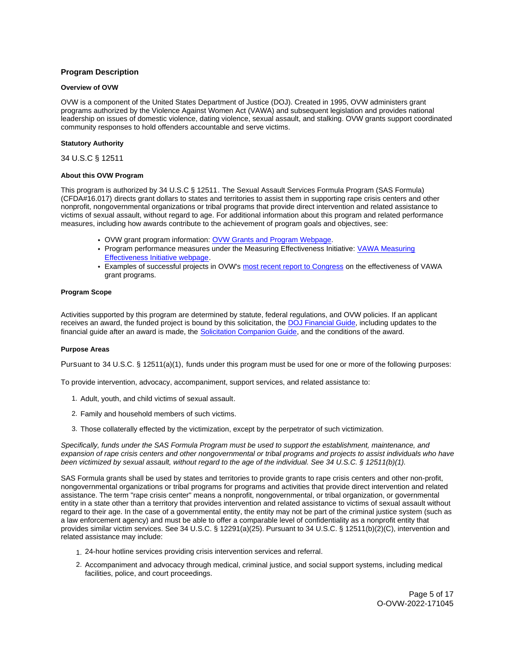## <span id="page-4-0"></span>**Program Description**

## **Overview of OVW**

OVW is a component of the United States Department of Justice (DOJ). Created in 1995, OVW administers grant programs authorized by the Violence Against Women Act (VAWA) and subsequent legislation and provides national leadership on issues of domestic violence, dating violence, sexual assault, and stalking. OVW grants support coordinated community responses to hold offenders accountable and serve victims.

## **Statutory Authority**

34 U.S.C § 12511

#### **About this OVW Program**

This program is authorized by 34 U.S.C § 12511. The Sexual Assault Services Formula Program (SAS Formula) (CFDA#16.017) directs grant dollars to states and territories to assist them in supporting rape crisis centers and other nonprofit, nongovernmental organizations or tribal programs that provide direct intervention and related assistance to victims of sexual assault, without regard to age. For additional information about this program and related performance measures, including how awards contribute to the achievement of program goals and objectives, see:

- OVW grant program information: [OVW Grants and Program Webpage.](https://www.justice.gov/ovw/grant-programs)
- Program performance measures under the Measuring Effectiveness Initiative: [VAWA Measuring](https://www.vawamei.org/grant-programs/)  [Effectiveness Initiative webpage.](https://www.vawamei.org/grant-programs/)
- Examples of successful projects in OVW's [most recent report to Congress](https://www.justice.gov/ovw/reports-congress#s1) on the effectiveness of VAWA grant programs.

#### **Program Scope**

Activities supported by this program are determined by statute, federal regulations, and OVW policies. If an applicant receives an award, the funded project is bound by this solicitation, the [DOJ Financial Guide,](https://www.justice.gov/ovw/page/file/1298396/download) including updates to the financial guide after an award is made, the [Solicitation Companion Guide,](https://www.justice.gov/ovw/resources-applicants) and the conditions of the award.

## **Purpose Areas**

Pursuant to 34 U.S.C. § 12511(a)(1), funds under this program must be used for one or more of the following purposes:

To provide intervention, advocacy, accompaniment, support services, and related assistance to:

- 1. Adult, youth, and child victims of sexual assault.
- 2. Family and household members of such victims.
- 3. Those collaterally effected by the victimization, except by the perpetrator of such victimization.

Specifically, funds under the SAS Formula Program must be used to support the establishment, maintenance, and expansion of rape crisis centers and other nongovernmental or tribal programs and projects to assist individuals who have been victimized by sexual assault, without regard to the age of the individual. See 34 U.S.C. § 12511(b)(1).

SAS Formula grants shall be used by states and territories to provide grants to rape crisis centers and other non-profit, nongovernmental organizations or tribal programs for programs and activities that provide direct intervention and related assistance. The term "rape crisis center" means a nonprofit, nongovernmental, or tribal organization, or governmental entity in a state other than a territory that provides intervention and related assistance to victims of sexual assault without regard to their age. In the case of a governmental entity, the entity may not be part of the criminal justice system (such as a law enforcement agency) and must be able to offer a comparable level of confidentiality as a nonprofit entity that provides similar victim services. See 34 U.S.C. § 12291(a)(25). Pursuant to 34 U.S.C. § 12511(b)(2)(C), intervention and related assistance may include:

- 1. 24-hour hotline services providing crisis intervention services and referral.
- 2. Accompaniment and advocacy through medical, criminal justice, and social support systems, including medical facilities, police, and court proceedings.

Page 5 of 17 O-OVW-2022-171045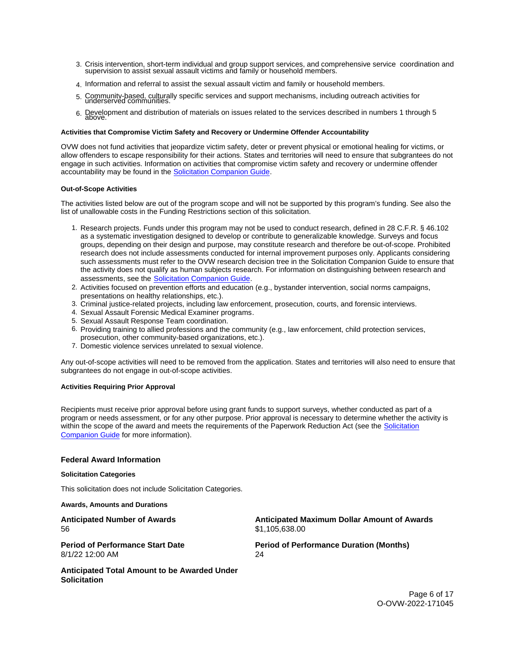- <span id="page-5-0"></span>3. Crisis intervention, short-term individual and group support services, and comprehensive service coordination and supervision to assist sexual assault victims and family or household members.
- 4. Information and referral to assist the sexual assault victim and family or household members.
- 5. Community-based, culturally specific services and support mechanisms, including outreach activities for underserved communities.
- 6. Development and distribution of materials on issues related to the services described in numbers 1 through 5<br>above.

## **Activities that Compromise Victim Safety and Recovery or Undermine Offender Accountability**

OVW does not fund activities that jeopardize victim safety, deter or prevent physical or emotional healing for victims, or allow offenders to escape responsibility for their actions. States and territories will need to ensure that subgrantees do not engage in such activities. Information on activities that compromise victim safety and recovery or undermine offender accountability may be found in the [Solicitation Companion Guide.](https://www.justice.gov/ovw/resources-applicants)

#### **Out-of-Scope Activities**

The activities listed below are out of the program scope and will not be supported by this program's funding. See also the list of unallowable costs in the Funding Restrictions section of this solicitation.

- 1. Research projects. Funds under this program may not be used to conduct research, defined in 28 C.F.R. § 46.102 as a systematic investigation designed to develop or contribute to generalizable knowledge. Surveys and focus groups, depending on their design and purpose, may constitute research and therefore be out-of-scope. Prohibited research does not include assessments conducted for internal improvement purposes only. Applicants considering such assessments must refer to the OVW research decision tree in the Solicitation Companion Guide to ensure that the activity does not qualify as human subjects research. For information on distinguishing between research and assessments, see the [Solicitation Companion Guide.](https://www.justice.gov/ovw/resources-applicants)
- 2. Activities focused on prevention efforts and education (e.g., bystander intervention, social norms campaigns, presentations on healthy relationships, etc.).
- 3. Criminal justice-related projects, including law enforcement, prosecution, courts, and forensic interviews.
- 4. Sexual Assault Forensic Medical Examiner programs.
- 5. Sexual Assault Response Team coordination.
- 6. Providing training to allied professions and the community (e.g., law enforcement, child protection services,
- prosecution, other community-based organizations, etc.).
- 7. Domestic violence services unrelated to sexual violence.

Any out-of-scope activities will need to be removed from the application. States and territories will also need to ensure that subgrantees do not engage in out-of-scope activities.

## **Activities Requiring Prior Approval**

Recipients must receive prior approval before using grant funds to support surveys, whether conducted as part of a program or needs assessment, or for any other purpose. Prior approval is necessary to determine whether the activity is within the scope of the award and meets the requirements of the Paperwork Reduction Act (see the Solicitation [Companion Guide](https://www.justice.gov/ovw/resources-applicants) for more information).

## **Federal Award Information**

#### **Solicitation Categories**

This solicitation does not include Solicitation Categories.

**Awards, Amounts and Durations** 

**Anticipated Number of Awards**  56

**Anticipated Maximum Dollar Amount of Awards**  \$1,105,638.00

**Period of Performance Start Date**  8/1/22 12:00 AM

**Period of Performance Duration (Months)**  24

**Anticipated Total Amount to be Awarded Under Solicitation** 

> Page 6 of 17 O-OVW-2022-171045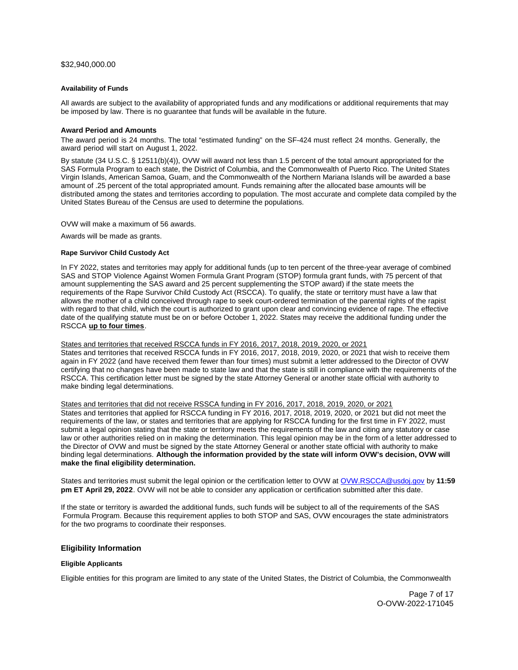## <span id="page-6-0"></span>[\\$32,940,000.00](https://32,940,000.00)

#### **Availability of Funds**

All awards are subject to the availability of appropriated funds and any modifications or additional requirements that may be imposed by law. There is no guarantee that funds will be available in the future.

## **Award Period and Amounts**

The award period is 24 months. The total "estimated funding" on the SF-424 must reflect 24 months. Generally, the award period will start on August 1, 2022.

By statute (34 U.S.C. § 12511(b)(4)), OVW will award not less than 1.5 percent of the total amount appropriated for the SAS Formula Program to each state, the District of Columbia, and the Commonwealth of Puerto Rico. The United States Virgin Islands, American Samoa, Guam, and the Commonwealth of the Northern Mariana Islands will be awarded a base amount of .25 percent of the total appropriated amount. Funds remaining after the allocated base amounts will be distributed among the states and territories according to population. The most accurate and complete data compiled by the United States Bureau of the Census are used to determine the populations.

OVW will make a maximum of 56 awards.

Awards will be made as grants.

#### **Rape Survivor Child Custody Act**

In FY 2022, states and territories may apply for additional funds (up to ten percent of the three-year average of combined SAS and STOP Violence Against Women Formula Grant Program (STOP) formula grant funds, with 75 percent of that amount supplementing the SAS award and 25 percent supplementing the STOP award) if the state meets the requirements of the Rape Survivor Child Custody Act (RSCCA). To qualify, the state or territory must have a law that allows the mother of a child conceived through rape to seek court-ordered termination of the parental rights of the rapist with regard to that child, which the court is authorized to grant upon clear and convincing evidence of rape. The effective date of the qualifying statute must be on or before October 1, 2022. States may receive the additional funding under the RSCCA **up to four times**.

States and territories that received RSCCA funds in FY 2016, 2017, 2018, 2019, 2020, or 2021

States and territories that received RSCCA funds in FY 2016, 2017, 2018, 2019, 2020, or 2021 that wish to receive them again in FY 2022 (and have received them fewer than four times) must submit a letter addressed to the Director of OVW certifying that no changes have been made to state law and that the state is still in compliance with the requirements of the RSCCA. This certification letter must be signed by the state Attorney General or another state official with authority to make binding legal determinations.

States and territories that did not receive RSSCA funding in FY 2016, 2017, 2018, 2019, 2020, or 2021

States and territories that applied for RSCCA funding in FY 2016, 2017, 2018, 2019, 2020, or 2021 but did not meet the requirements of the law, or states and territories that are applying for RSCCA funding for the first time in FY 2022, must submit a legal opinion stating that the state or territory meets the requirements of the law and citing any statutory or case law or other authorities relied on in making the determination. This legal opinion may be in the form of a letter addressed to the Director of OVW and must be signed by the state Attorney General or another state official with authority to make binding legal determinations. **Although the information provided by the state will inform OVW's decision, OVW will make the final eligibility determination.** 

States and territories must submit the legal opinion or the certification letter to OVW at [OVW.RSCCA@usdoj.gov](mailto:OVW.RSCCA@usdoj.gov) by **11:59 pm ET April 29, 2022**. OVW will not be able to consider any application or certification submitted after this date.

If the state or territory is awarded the additional funds, such funds will be subject to all of the requirements of the SAS Formula Program. Because this requirement applies to both STOP and SAS, OVW encourages the state administrators for the two programs to coordinate their responses.

## **Eligibility Information**

#### **Eligible Applicants**

Eligible entities for this program are limited to any state of the United States, the District of Columbia, the Commonwealth

Page 7 of 17 O-OVW-2022-171045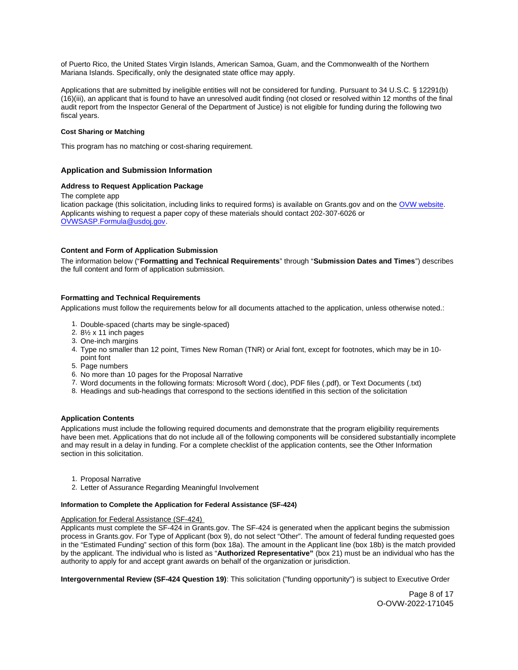<span id="page-7-0"></span>of Puerto Rico, the United States Virgin Islands, American Samoa, Guam, and the Commonwealth of the Northern Mariana Islands. Specifically, only the designated state office may apply.

Applications that are submitted by ineligible entities will not be considered for funding. Pursuant to 34 U.S.C. § 12291(b) (16)(iii), an applicant that is found to have an unresolved audit finding (not closed or resolved within 12 months of the final audit report from the Inspector General of the Department of Justice) is not eligible for funding during the following two fiscal years.

## **Cost Sharing or Matching**

This program has no matching or cost-sharing requirement.

## **Application and Submission Information**

## **Address to Request Application Package**

The complete app lication package (this solicitation, including links to required forms) is available on [Grants.gov](https://Grants.gov) and on the [OVW website.](https://www.justice.gov/ovw/how-apply) Applicants wishing to request a paper copy of these materials should contact 202-307-6026 or [OVWSASP.Formula@usdoj.gov.](http://OVWSASP.Formula@usdoj.gov)

## **Content and Form of Application Submission**

The information below ("**Formatting and Technical Requirements**" through "**Submission Dates and Times**") describes the full content and form of application submission.

## **Formatting and Technical Requirements**

Applications must follow the requirements below for all documents attached to the application, unless otherwise noted.:

- 1. Double-spaced (charts may be single-spaced)
- 2. 8½ x 11 inch pages
- 3. One-inch margins
- 4. Type no smaller than 12 point, Times New Roman (TNR) or Arial font, except for footnotes, which may be in 10 point font
- 5. Page numbers
- 6. No more than 10 pages for the Proposal Narrative
- 7. Word documents in the following formats: Microsoft Word (.doc), PDF files (.pdf), or Text Documents (.txt)
- 8. Headings and sub-headings that correspond to the sections identified in this section of the solicitation

## **Application Contents**

Applications must include the following required documents and demonstrate that the program eligibility requirements have been met. Applications that do not include all of the following components will be considered substantially incomplete and may result in a delay in funding. For a complete checklist of the application contents, see the Other Information section in this solicitation.

- 1. Proposal Narrative
- 2. Letter of Assurance Regarding Meaningful Involvement

#### **Information to Complete the Application for Federal Assistance (SF-424)**

## Application for Federal Assistance (SF-424)

Applicants must complete the SF-424 in [Grants.gov](https://Grants.gov). The SF-424 is generated when the applicant begins the submission process in [Grants.gov.](https://Grants.gov) For Type of Applicant (box 9), do not select "Other". The amount of federal funding requested goes in the "Estimated Funding" section of this form (box 18a). The amount in the Applicant line (box 18b) is the match provided by the applicant. The individual who is listed as "**Authorized Representative"** (box 21) must be an individual who has the authority to apply for and accept grant awards on behalf of the organization or jurisdiction.

**Intergovernmental Review (SF-424 Question 19)**: This solicitation ("funding opportunity") is subject to Executive Order

Page 8 of 17 O-OVW-2022-171045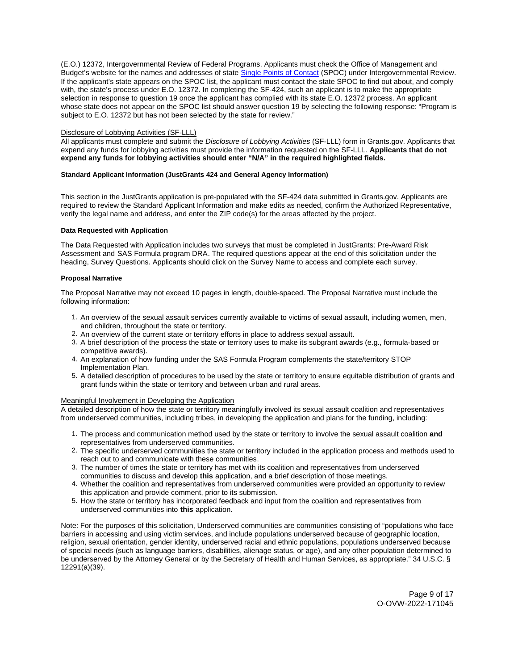<span id="page-8-0"></span>(E.O.) 12372, Intergovernmental Review of Federal Programs. Applicants must check the Office of Management and Budget's website for the names and addresses of state [Single Points of Contact](https://www.whitehouse.gov/wp-content/uploads/2020/04/SPOC-4-13-20.pdf) (SPOC) under Intergovernmental Review. If the applicant's state appears on the SPOC list, the applicant must contact the state SPOC to find out about, and comply with, the state's process under E.O. 12372. In completing the SF-424, such an applicant is to make the appropriate selection in response to question 19 once the applicant has complied with its state E.O. 12372 process. An applicant whose state does not appear on the SPOC list should answer question 19 by selecting the following response: "Program is subject to E.O. 12372 but has not been selected by the state for review."

#### Disclosure of Lobbying Activities (SF-LLL)

All applicants must complete and submit the Disclosure of Lobbying Activities (SF-LLL) form in [Grants.gov.](https://Grants.gov) Applicants that expend any funds for lobbying activities must provide the information requested on the SF-LLL. **Applicants that do not expend any funds for lobbying activities should enter "N/A" in the required highlighted fields.** 

## **Standard Applicant Information (JustGrants 424 and General Agency Information)**

This section in the JustGrants application is pre-populated with the SF-424 data submitted in [Grants.gov](https://Grants.gov). Applicants are required to review the Standard Applicant Information and make edits as needed, confirm the Authorized Representative, verify the legal name and address, and enter the ZIP code(s) for the areas affected by the project.

#### **Data Requested with Application**

The Data Requested with Application includes two surveys that must be completed in JustGrants: Pre-Award Risk Assessment and SAS Formula program DRA. The required questions appear at the end of this solicitation under the heading, Survey Questions. Applicants should click on the Survey Name to access and complete each survey.

## **Proposal Narrative**

The Proposal Narrative may not exceed 10 pages in length, double-spaced. The Proposal Narrative must include the following information:

- 1. An overview of the sexual assault services currently available to victims of sexual assault, including women, men, and children, throughout the state or territory.
- 2. An overview of the current state or territory efforts in place to address sexual assault.
- 3. A brief description of the process the state or territory uses to make its subgrant awards (e.g., formula-based or competitive awards).
- 4. An explanation of how funding under the SAS Formula Program complements the state/territory STOP Implementation Plan.
- 5. A detailed description of procedures to be used by the state or territory to ensure equitable distribution of grants and grant funds within the state or territory and between urban and rural areas.

#### Meaningful Involvement in Developing the Application

A detailed description of how the state or territory meaningfully involved its sexual assault coalition and representatives from underserved communities, including tribes, in developing the application and plans for the funding, including:

- 1. The process and communication method used by the state or territory to involve the sexual assault coalition **and**  representatives from underserved communities.
- 2. The specific underserved communities the state or territory included in the application process and methods used to reach out to and communicate with these communities.
- 3. The number of times the state or territory has met with its coalition and representatives from underserved communities to discuss and develop **this** application, and a brief description of those meetings.
- 4. Whether the coalition and representatives from underserved communities were provided an opportunity to review this application and provide comment, prior to its submission.
- 5. How the state or territory has incorporated feedback and input from the coalition and representatives from underserved communities into **this** application.

Note: For the purposes of this solicitation, Underserved communities are communities consisting of "populations who face barriers in accessing and using victim services, and include populations underserved because of geographic location, religion, sexual orientation, gender identity, underserved racial and ethnic populations, populations underserved because of special needs (such as language barriers, disabilities, alienage status, or age), and any other population determined to be underserved by the Attorney General or by the Secretary of Health and Human Services, as appropriate." 34 U.S.C. § 12291(a)(39).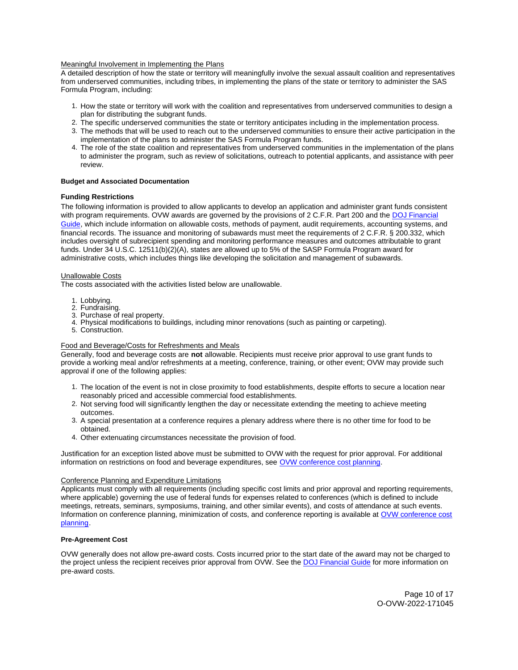#### <span id="page-9-0"></span>Meaningful Involvement in Implementing the Plans

A detailed description of how the state or territory will meaningfully involve the sexual assault coalition and representatives from underserved communities, including tribes, in implementing the plans of the state or territory to administer the SAS Formula Program, including:

- 1. How the state or territory will work with the coalition and representatives from underserved communities to design a plan for distributing the subgrant funds.
- 2. The specific underserved communities the state or territory anticipates including in the implementation process.
- 3. The methods that will be used to reach out to the underserved communities to ensure their active participation in the implementation of the plans to administer the SAS Formula Program funds.
- 4. The role of the state coalition and representatives from underserved communities in the implementation of the plans to administer the program, such as review of solicitations, outreach to potential applicants, and assistance with peer review.

#### **Budget and Associated Documentation**

## **Funding Restrictions**

The following information is provided to allow applicants to develop an application and administer grant funds consistent with program requirements. OVW awards are governed by the provisions of 2 C.F.R. Part 200 and the DOJ Financial [Guide,](https://www.justice.gov/ovw/page/file/1298396/download) which include information on allowable costs, methods of payment, audit requirements, accounting systems, and financial records. The issuance and monitoring of subawards must meet the requirements of 2 C.F.R. § 200.332, which includes oversight of subrecipient spending and monitoring performance measures and outcomes attributable to grant funds. Under 34 U.S.C. 12511(b)(2)(A), states are allowed up to 5% of the SASP Formula Program award for administrative costs, which includes things like developing the solicitation and management of subawards.

#### Unallowable Costs

The costs associated with the activities listed below are unallowable.

- 1. Lobbying.
- 2. Fundraising.
- 3. Purchase of real property.
- 4. Physical modifications to buildings, including minor renovations (such as painting or carpeting).
- 5. Construction.

#### Food and Beverage/Costs for Refreshments and Meals

Generally, food and beverage costs are **not** allowable. Recipients must receive prior approval to use grant funds to provide a working meal and/or refreshments at a meeting, conference, training, or other event; OVW may provide such approval if one of the following applies:

- 1. The location of the event is not in close proximity to food establishments, despite efforts to secure a location near reasonably priced and accessible commercial food establishments.
- 2. Not serving food will significantly lengthen the day or necessitate extending the meeting to achieve meeting outcomes.
- 3. A special presentation at a conference requires a plenary address where there is no other time for food to be obtained.
- 4. Other extenuating circumstances necessitate the provision of food.

Justification for an exception listed above must be submitted to OVW with the request for prior approval. For additional information on restrictions on food and beverage expenditures, see [OVW conference cost planning.](https://www.justice.gov/ovw/conference-planning)

#### Conference Planning and Expenditure Limitations

Applicants must comply with all requirements (including specific cost limits and prior approval and reporting requirements, where applicable) governing the use of federal funds for expenses related to conferences (which is defined to include meetings, retreats, seminars, symposiums, training, and other similar events), and costs of attendance at such events. Information on conference planning, minimization of costs, and conference reporting is available at [OVW conference cost](https://www.justice.gov/ovw/conference-planning)  [planning.](https://www.justice.gov/ovw/conference-planning)

## **Pre-Agreement Cost**

OVW generally does not allow pre-award costs. Costs incurred prior to the start date of the award may not be charged to the project unless the recipient receives prior approval from OVW. See the [DOJ Financial Guide](https://www.justice.gov/ovw/file/1030311/download) for more information on pre-award costs.

> Page 10 of 17 O-OVW-2022-171045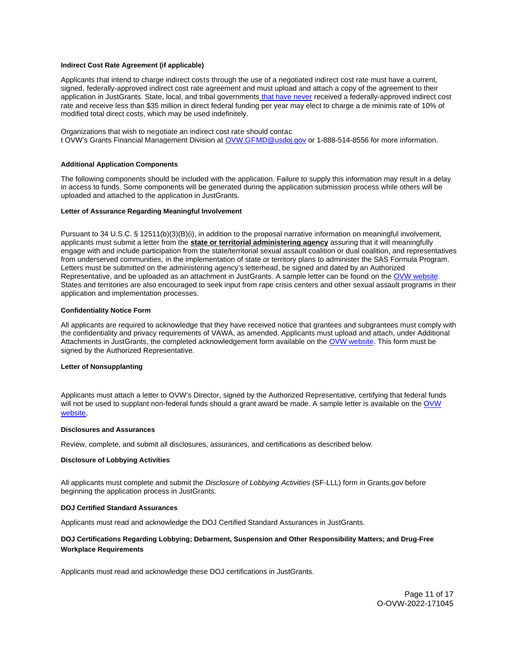#### <span id="page-10-0"></span>**Indirect Cost Rate Agreement (if applicable)**

Applicants that intend to charge indirect costs through the use of a negotiated indirect cost rate must have a current, signed, federally-approved indirect cost rate agreement and must upload and attach a copy of the agreement to their application in JustGrants. State, local, and tribal governments that have never received a federally-approved indirect cost rate and receive less than \$35 million in direct federal funding per year may elect to charge a de minimis rate of 10% of modified total direct costs, which may be used indefinitely.

Organizations that wish to negotiate an indirect cost rate should contac t OVW's Grants Financial Management Division at [OVW.GFMD@usdoj.gov](mailto:OVW.GFMD@usdoj.gov) or 1-888-514-8556 for more information.

#### **Additional Application Components**

The following components should be included with the application. Failure to supply this information may result in a delay in access to funds. Some components will be generated during the application submission process while others will be uploaded and attached to the application in JustGrants.

#### **Letter of Assurance Regarding Meaningful Involvement**

Pursuant to 34 U.S.C. § 12511(b)(3)(B)(i), in addition to the proposal narrative information on meaningful involvement, applicants must submit a letter from the **state or territorial administering agency** assuring that it will meaningfully engage with and include participation from the state/territorial sexual assault coalition or dual coalition, and representatives from underserved communities, in the implementation of state or territory plans to administer the SAS Formula Program. Letters must be submitted on the administering agency's letterhead, be signed and dated by an Authorized Representative, and be uploaded as an attachment in JustGrants. A sample letter can be found on the [OVW website.](https://www.justice.gov/ovw/resources-applicants) States and territories are also encouraged to seek input from rape crisis centers and other sexual assault programs in their application and implementation processes.

#### **Confidentiality Notice Form**

All applicants are required to acknowledge that they have received notice that grantees and subgrantees must comply with the confidentiality and privacy requirements of VAWA, as amended. Applicants must upload and attach, under Additional Attachments in JustGrants, the completed acknowledgement form available on the [OVW website.](http://www.justice.gov/sites/default/files/ovw/pages/attachments/2015/01/20/confidentiality_acknowledgement_form_42015.pdf) This form must be signed by the Authorized Representative.

## **Letter of Nonsupplanting**

Applicants must attach a letter to OVW's Director, signed by the Authorized Representative, certifying that federal funds will not be used to supplant non-federal funds should a grant award be made. A sample letter is available on the  $OVM$ [website](https://www.justice.gov/ovw/resources-applicants).

#### **Disclosures and Assurances**

Review, complete, and submit all disclosures, assurances, and certifications as described below.

#### **Disclosure of Lobbying Activities**

All applicants must complete and submit the Disclosure of Lobbying Activities (SF-LLL) form in [Grants.gov](https://Grants.gov) before beginning the application process in JustGrants.

#### **DOJ Certified Standard Assurances**

Applicants must read and acknowledge the DOJ Certified Standard Assurances in JustGrants.

## **DOJ Certifications Regarding Lobbying; Debarment, Suspension and Other Responsibility Matters; and Drug-Free Workplace Requirements**

Applicants must read and acknowledge these DOJ certifications in JustGrants.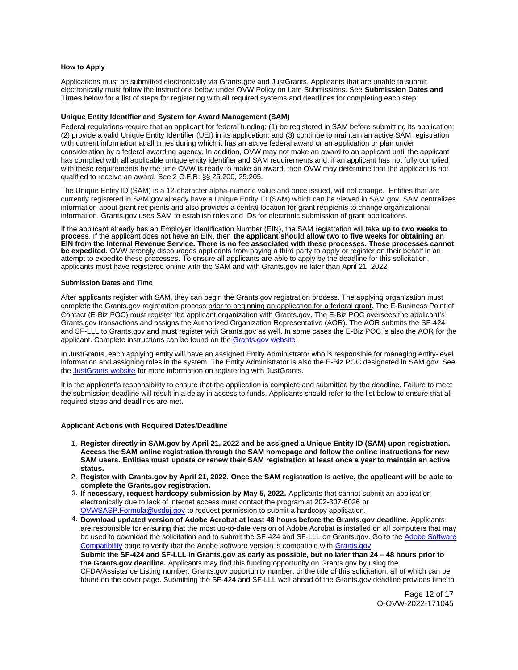#### <span id="page-11-0"></span>**How to Apply**

Applications must be submitted electronically via [Grants.gov](https://Grants.gov) and JustGrants. Applicants that are unable to submit electronically must follow the instructions below under OVW Policy on Late Submissions. See **Submission Dates and Times** below for a list of steps for registering with all required systems and deadlines for completing each step.

## **Unique Entity Identifier and System for Award Management (SAM)**

Federal regulations require that an applicant for federal funding: (1) be registered in SAM before submitting its application; (2) provide a valid Unique Entity Identifier (UEI) in its application; and (3) continue to maintain an active SAM registration with current information at all times during which it has an active federal award or an application or plan under consideration by a federal awarding agency. In addition, OVW may not make an award to an applicant until the applicant has complied with all applicable unique entity identifier and SAM requirements and, if an applicant has not fully complied with these requirements by the time OVW is ready to make an award, then OVW may determine that the applicant is not qualified to receive an award. See 2 C.F.R. §§ 25.200, 25.205.

The Unique Entity ID (SAM) is a 12-character alpha-numeric value and once issued, will not change. Entities that are currently registered in SAM.gov already have a Unique Entity ID (SAM) which can be viewed in SAM.gov. SAM centralizes information about grant recipients and also provides a central location for grant recipients to change organizational information. [Grants.gov](https://Grants.gov) uses SAM to establish roles and IDs for electronic submission of grant applications.

If the applicant already has an Employer Identification Number (EIN), the SAM registration will take **up to two weeks to process**. If the applicant does not have an EIN, then **the applicant should allow two to five weeks for obtaining an EIN from the Internal Revenue Service. There is no fee associated with these processes. These processes cannot be expedited.** OVW strongly discourages applicants from paying a third party to apply or register on their behalf in an attempt to expedite these processes. To ensure all applicants are able to apply by the deadline for this solicitation, applicants must have registered online with the SAM and with [Grants.gov](https://Grants.gov) no later than April 21, 2022.

#### **Submission Dates and Time**

After applicants register with SAM, they can begin the [Grants.gov](https://Grants.gov) registration process. The applying organization must complete the [Grants.gov](https://Grants.gov) registration process prior to beginning an application for a federal grant. The E-Business Point of Contact (E-Biz POC) must register the applicant organization with [Grants.gov](https://Grants.gov). The E-Biz POC oversees the applicant's [Grants.gov](https://Grants.gov) transactions and assigns the Authorized Organization Representative (AOR). The AOR submits the SF-424 and SF-LLL to [Grants.gov](https://Grants.gov) and must register with [Grants.gov](https://Grants.gov) as well. In some cases the E-Biz POC is also the AOR for the applicant. Complete instructions can be found on the [Grants.gov website.](https://www.grants.gov/web/grants/applicants/registration.html)

In JustGrants, each applying entity will have an assigned Entity Administrator who is responsible for managing entity-level information and assigning roles in the system. The Entity Administrator is also the E-Biz POC designated in SAM.gov. See the [JustGrants website](https://justicegrants.usdoj.gov/) for more information on registering with JustGrants.

It is the applicant's responsibility to ensure that the application is complete and submitted by the deadline. Failure to meet the submission deadline will result in a delay in access to funds. Applicants should refer to the list below to ensure that all required steps and deadlines are met.

#### **Applicant Actions with Required Dates/Deadline**

- 1. **Register directly in SAM.gov by April 21, 2022 and be assigned a Unique Entity ID (SAM) upon registration. Access the SAM online registration through the SAM homepage and follow the online instructions for new SAM users. Entities must update or renew their SAM registration at least once a year to maintain an active status.**
- 2. **Register with [Grants.gov](https://Grants.gov) by April 21, 2022. Once the SAM registration is active, the applicant will be able to complete the [Grants.gov](https://Grants.gov) registration.**
- 3. **If necessary, request hardcopy submission by May 5, 2022.** Applicants that cannot submit an application electronically due to lack of internet access must contact the program at 202-307-6026 or [OVWSASP.Formula@usdoj.gov](http://ovwsasp.formula@usdoj.gov) to request permission to submit a hardcopy application.
- 4. **Download updated version of Adobe Acrobat at least 48 hours before the [Grants.gov](https://Grants.gov) deadline.** Applicants are responsible for ensuring that the most up-to-date version of Adobe Acrobat is installed on all computers that may be used to download the solicitation and to submit the SF-424 and SF-LLL on [Grants.gov](https://Grants.gov). Go to the [Adobe Software](https://www.grants.gov/web/grants/applicants/adobe-software-compatibility.html)  [Compatibility](https://www.grants.gov/web/grants/applicants/adobe-software-compatibility.html) page to verify that the Adobe software version is compatible with [Grants.gov.](http://www.grants.gov) **Submit the SF-424 and SF-LLL in [Grants.gov](https://Grants.gov) as early as possible, but no later than 24 – 48 hours prior to**

**the [Grants.gov](https://Grants.gov) deadline.** Applicants may find this funding opportunity on [Grants.gov](https://Grants.gov) by using the CFDA/Assistance Listing number, [Grants.gov](https://Grants.gov) opportunity number, or the title of this solicitation, all of which can be found on the cover page. Submitting the SF-424 and SF-LLL well ahead of the [Grants.gov](https://Grants.gov) deadline provides time to

> Page 12 of 17 O-OVW-2022-171045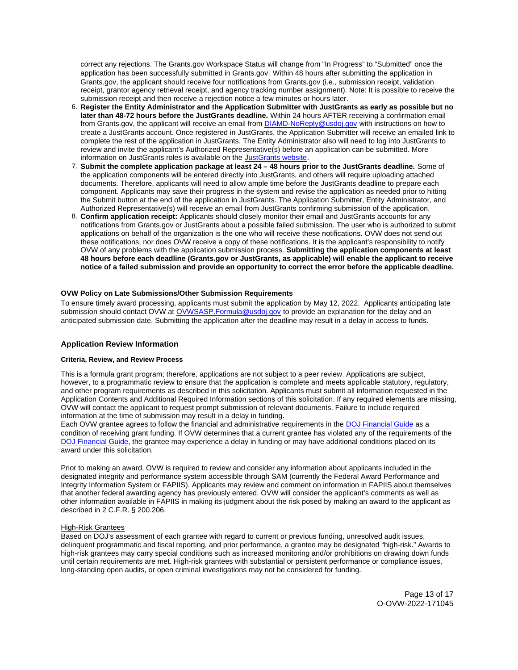<span id="page-12-0"></span>correct any rejections. The [Grants.gov](https://Grants.gov) Workspace Status will change from "In Progress" to "Submitted" once the application has been successfully submitted in [Grants.gov.](https://Grants.gov) Within 48 hours after submitting the application in [Grants.gov,](https://Grants.gov) the applicant should receive four notifications from [Grants.gov](https://Grants.gov) (i.e., submission receipt, validation receipt, grantor agency retrieval receipt, and agency tracking number assignment). Note: It is possible to receive the submission receipt and then receive a rejection notice a few minutes or hours later.

- 6. **Register the Entity Administrator and the Application Submitter with JustGrants as early as possible but no later than 48-72 hours before the JustGrants deadline.** Within 24 hours AFTER receiving a confirmation email from [Grants.gov](https://Grants.gov), the applicant will receive an email from **DIAMD-NoReply@usdoj.gov** with instructions on how to create a JustGrants account. Once registered in JustGrants, the Application Submitter will receive an emailed link to complete the rest of the application in JustGrants. The Entity Administrator also will need to log into JustGrants to review and invite the applicant's Authorized Representative(s) before an application can be submitted. More information on JustGrants roles is available on the [JustGrants website.](https://justicegrants.usdoj.gov/getting-started#secureOnboarding)
- 7. **Submit the complete application package at least 24 48 hours prior to the JustGrants deadline.** Some of the application components will be entered directly into JustGrants, and others will require uploading attached documents. Therefore, applicants will need to allow ample time before the JustGrants deadline to prepare each component. Applicants may save their progress in the system and revise the application as needed prior to hitting the Submit button at the end of the application in JustGrants. The Application Submitter, Entity Administrator, and Authorized Representative(s) will receive an email from JustGrants confirming submission of the application.
- 8. **Confirm application receipt:** Applicants should closely monitor their email and JustGrants accounts for any notifications from [Grants.gov](https://Grants.gov) or JustGrants about a possible failed submission. The user who is authorized to submit applications on behalf of the organization is the one who will receive these notifications. OVW does not send out these notifications, nor does OVW receive a copy of these notifications. It is the applicant's responsibility to notify OVW of any problems with the application submission process. **Submitting the application components at least 48 hours before each deadline ([Grants.gov](https://Grants.gov) or JustGrants, as applicable) will enable the applicant to receive notice of a failed submission and provide an opportunity to correct the error before the applicable deadline.**

## **OVW Policy on Late Submissions/Other Submission Requirements**

To ensure timely award processing, applicants must submit the application by May 12, 2022. Applicants anticipating late submission should contact OVW at [OVWSASP.Formula@usdoj.gov](http://ovwsasp.formula@usdoj.gov) to provide an explanation for the delay and an anticipated submission date. Submitting the application after the deadline may result in a delay in access to funds.

## **Application Review Information**

#### **Criteria, Review, and Review Process**

This is a formula grant program; therefore, applications are not subject to a peer review. Applications are subject, however, to a programmatic review to ensure that the application is complete and meets applicable statutory, regulatory, and other program requirements as described in this solicitation. Applicants must submit all information requested in the Application Contents and Additional Required Information sections of this solicitation. If any required elements are missing, OVW will contact the applicant to request prompt submission of relevant documents. Failure to include required information at the time of submission may result in a delay in funding.

Each OVW grantee agrees to follow the financial and administrative requirements in the [DOJ Financial Guide](https://www.justice.gov/ovw/page/file/1298396/download) as a condition of receiving grant funding. If OVW determines that a current grantee has violated any of the requirements of the [DOJ Financial Guide,](https://www.justice.gov/ovw/page/file/1298396/download) the grantee may experience a delay in funding or may have additional conditions placed on its award under this solicitation.

Prior to making an award, OVW is required to review and consider any information about applicants included in the designated integrity and performance system accessible through SAM (currently the Federal Award Performance and Integrity Information System or FAPIIS). Applicants may review and comment on information in FAPIIS about themselves that another federal awarding agency has previously entered. OVW will consider the applicant's comments as well as other information available in FAPIIS in making its judgment about the risk posed by making an award to the applicant as described in 2 C.F.R. § 200.206.

#### High-Risk Grantees

Based on DOJ's assessment of each grantee with regard to current or previous funding, unresolved audit issues, delinquent programmatic and fiscal reporting, and prior performance, a grantee may be designated "high-risk." Awards to high-risk grantees may carry special conditions such as increased monitoring and/or prohibitions on drawing down funds until certain requirements are met. High-risk grantees with substantial or persistent performance or compliance issues, long-standing open audits, or open criminal investigations may not be considered for funding.

> Page 13 of 17 O-OVW-2022-171045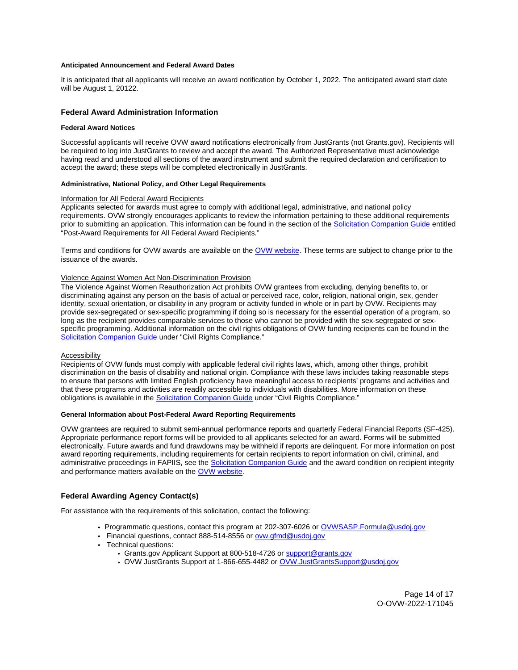## <span id="page-13-0"></span>**Anticipated Announcement and Federal Award Dates**

It is anticipated that all applicants will receive an award notification by October 1, 2022. The anticipated award start date will be August 1, 20122.

## **Federal Award Administration Information**

#### **Federal Award Notices**

Successful applicants will receive OVW award notifications electronically from JustGrants (not [Grants.gov](https://Grants.gov)). Recipients will be required to log into JustGrants to review and accept the award. The Authorized Representative must acknowledge having read and understood all sections of the award instrument and submit the required declaration and certification to accept the award; these steps will be completed electronically in JustGrants.

## **Administrative, National Policy, and Other Legal Requirements**

#### Information for All Federal Award Recipients

Applicants selected for awards must agree to comply with additional legal, administrative, and national policy requirements. OVW strongly encourages applicants to review the information pertaining to these additional requirements prior to submitting an application. This information can be found in the section of the [Solicitation Companion Guide](https://www.justice.gov/ovw/resources-applicants) entitled "Post-Award Requirements for All Federal Award Recipients."

Terms and conditions for OVW awards are available on the [OVW website.](https://www.justice.gov/ovw/award-conditions) These terms are subject to change prior to the issuance of the awards.

## Violence Against Women Act Non-Discrimination Provision

The Violence Against Women Reauthorization Act prohibits OVW grantees from excluding, denying benefits to, or discriminating against any person on the basis of actual or perceived race, color, religion, national origin, sex, gender identity, sexual orientation, or disability in any program or activity funded in whole or in part by OVW. Recipients may provide sex-segregated or sex-specific programming if doing so is necessary for the essential operation of a program, so long as the recipient provides comparable services to those who cannot be provided with the sex-segregated or sexspecific programming. Additional information on the civil rights obligations of OVW funding recipients can be found in the [Solicitation Companion Guide](https://www.justice.gov/ovw/resources-applicants) under "Civil Rights Compliance."

#### Accessibility

Recipients of OVW funds must comply with applicable federal civil rights laws, which, among other things, prohibit discrimination on the basis of disability and national origin. Compliance with these laws includes taking reasonable steps to ensure that persons with limited English proficiency have meaningful access to recipients' programs and activities and that these programs and activities are readily accessible to individuals with disabilities. More information on these obligations is available in the [Solicitation Companion Guide](https://www.justice.gov/ovw/resources-applicants) under "Civil Rights Compliance."

#### **General Information about Post-Federal Award Reporting Requirements**

OVW grantees are required to submit semi-annual performance reports and quarterly Federal Financial Reports (SF-425). Appropriate performance report forms will be provided to all applicants selected for an award. Forms will be submitted electronically. Future awards and fund drawdowns may be withheld if reports are delinquent. For more information on post award reporting requirements, including requirements for certain recipients to report information on civil, criminal, and administrative proceedings in FAPIIS, see the [Solicitation Companion Guide](https://www.justice.gov/ovw/resources-applicants) and the award condition on recipient integrity and performance matters available on the [OVW website.](https://www.justice.gov/ovw/award-conditions)

## **Federal Awarding Agency Contact(s)**

For assistance with the requirements of this solicitation, contact the following:

- Programmatic questions, contact this program at 202-307-6026 or [OVWSASP.Formula@usdoj.gov](http://ovwsasp.formula@usdoj.gov)
- Financial questions, contact 888-514-8556 or [ovw.gfmd@usdoj.gov](mailto:ovw.gfmd@usdoj.gov)
- Technical questions:
	- [Grants.gov](https://Grants.gov) Applicant Support at 800-518-4726 or support@grants.gov
		- OVW JustGrants Support at 1-866-655-4482 or [OVW.JustGrantsSupport@usdoj.gov](mailto:OVW.JustGrantsSupport@usdoj.gov)

Page 14 of 17 O-OVW-2022-171045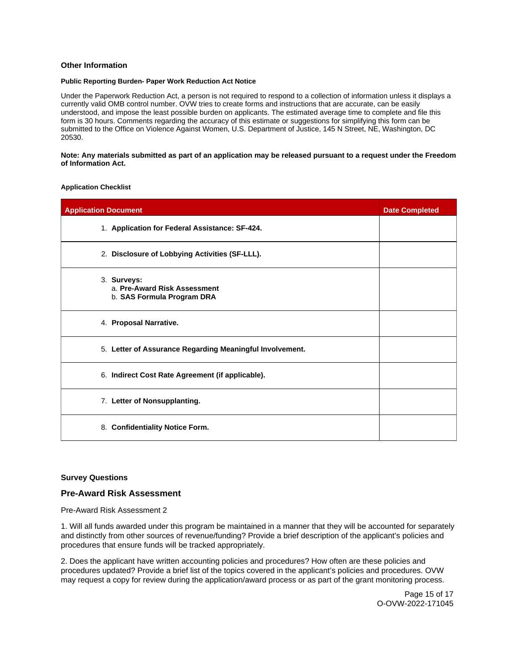## <span id="page-14-0"></span>**Other Information**

## **Public Reporting Burden- Paper Work Reduction Act Notice**

Under the Paperwork Reduction Act, a person is not required to respond to a collection of information unless it displays a currently valid OMB control number. OVW tries to create forms and instructions that are accurate, can be easily understood, and impose the least possible burden on applicants. The estimated average time to complete and file this form is 30 hours. Comments regarding the accuracy of this estimate or suggestions for simplifying this form can be submitted to the Office on Violence Against Women, U.S. Department of Justice, 145 N Street, NE, Washington, DC 20530.

#### **Note: Any materials submitted as part of an application may be released pursuant to a request under the Freedom of Information Act.**

#### **Application Checklist**

| <b>Application Document</b>                                               | <b>Date Completed</b> |
|---------------------------------------------------------------------------|-----------------------|
| 1. Application for Federal Assistance: SF-424.                            |                       |
| 2. Disclosure of Lobbying Activities (SF-LLL).                            |                       |
| 3. Surveys:<br>a. Pre-Award Risk Assessment<br>b. SAS Formula Program DRA |                       |
| 4. Proposal Narrative.                                                    |                       |
| 5. Letter of Assurance Regarding Meaningful Involvement.                  |                       |
| 6. Indirect Cost Rate Agreement (if applicable).                          |                       |
| 7. Letter of Nonsupplanting.                                              |                       |
| 8. Confidentiality Notice Form.                                           |                       |

## **Survey Questions**

## **Pre-Award Risk Assessment**

Pre-Award Risk Assessment 2

1. Will all funds awarded under this program be maintained in a manner that they will be accounted for separately and distinctly from other sources of revenue/funding? Provide a brief description of the applicant's policies and procedures that ensure funds will be tracked appropriately.

2. Does the applicant have written accounting policies and procedures? How often are these policies and procedures updated? Provide a brief list of the topics covered in the applicant's policies and procedures. OVW may request a copy for review during the application/award process or as part of the grant monitoring process.

> Page 15 of 17 O-OVW-2022-171045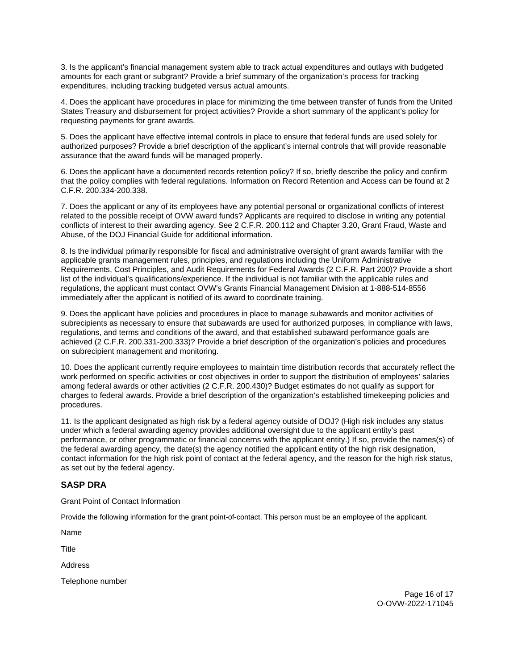3. Is the applicant's financial management system able to track actual expenditures and outlays with budgeted amounts for each grant or subgrant? Provide a brief summary of the organization's process for tracking expenditures, including tracking budgeted versus actual amounts.

4. Does the applicant have procedures in place for minimizing the time between transfer of funds from the United States Treasury and disbursement for project activities? Provide a short summary of the applicant's policy for requesting payments for grant awards.

5. Does the applicant have effective internal controls in place to ensure that federal funds are used solely for authorized purposes? Provide a brief description of the applicant's internal controls that will provide reasonable assurance that the award funds will be managed properly.

6. Does the applicant have a documented records retention policy? If so, briefly describe the policy and confirm that the policy complies with federal regulations. Information on Record Retention and Access can be found at 2 C.F.R. 200.334-200.338.

7. Does the applicant or any of its employees have any potential personal or organizational conflicts of interest related to the possible receipt of OVW award funds? Applicants are required to disclose in writing any potential conflicts of interest to their awarding agency. See 2 C.F.R. 200.112 and Chapter 3.20, Grant Fraud, Waste and Abuse, of the DOJ Financial Guide for additional information.

8. Is the individual primarily responsible for fiscal and administrative oversight of grant awards familiar with the applicable grants management rules, principles, and regulations including the Uniform Administrative Requirements, Cost Principles, and Audit Requirements for Federal Awards (2 C.F.R. Part 200)? Provide a short list of the individual's qualifications/experience. If the individual is not familiar with the applicable rules and regulations, the applicant must contact OVW's Grants Financial Management Division at 1-888-514-8556 immediately after the applicant is notified of its award to coordinate training.

9. Does the applicant have policies and procedures in place to manage subawards and monitor activities of subrecipients as necessary to ensure that subawards are used for authorized purposes, in compliance with laws, regulations, and terms and conditions of the award, and that established subaward performance goals are achieved (2 C.F.R. 200.331-200.333)? Provide a brief description of the organization's policies and procedures on subrecipient management and monitoring.

10. Does the applicant currently require employees to maintain time distribution records that accurately reflect the work performed on specific activities or cost objectives in order to support the distribution of employees' salaries among federal awards or other activities (2 C.F.R. 200.430)? Budget estimates do not qualify as support for charges to federal awards. Provide a brief description of the organization's established timekeeping policies and procedures.

11. Is the applicant designated as high risk by a federal agency outside of DOJ? (High risk includes any status under which a federal awarding agency provides additional oversight due to the applicant entity's past performance, or other programmatic or financial concerns with the applicant entity.) If so, provide the names(s) of the federal awarding agency, the date(s) the agency notified the applicant entity of the high risk designation, contact information for the high risk point of contact at the federal agency, and the reason for the high risk status, as set out by the federal agency.

## **SASP DRA**

Grant Point of Contact Information

Provide the following information for the grant point-of-contact. This person must be an employee of the applicant.

Name

Title

Address

Telephone number

Page 16 of 17 O-OVW-2022-171045